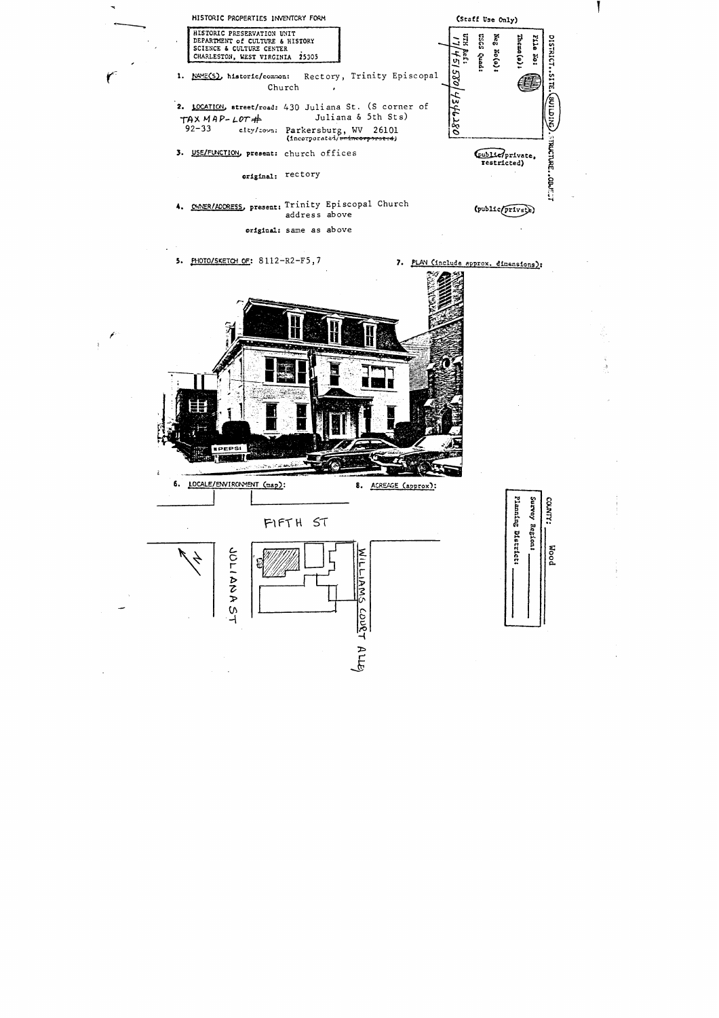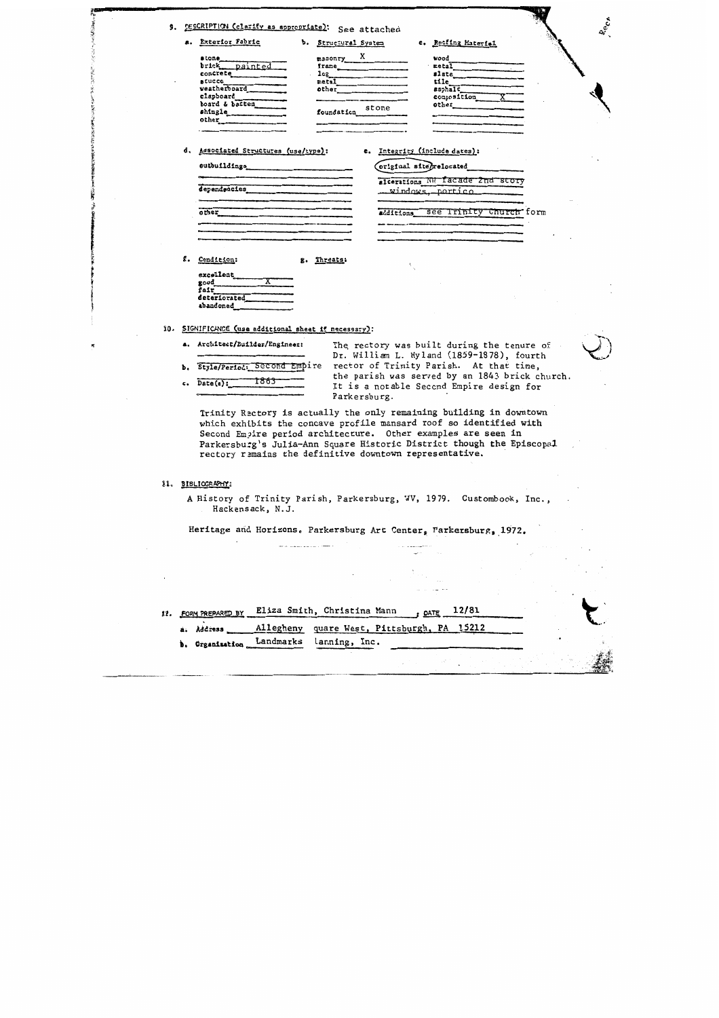| 9.                                                                |                                                                                                                                                                                                                                                                | Rect<br>DESCRIPTION (clarify as appropriate): See attached                                                                                                                                                                                                                                                                                     |  |  |  |  |  |
|-------------------------------------------------------------------|----------------------------------------------------------------------------------------------------------------------------------------------------------------------------------------------------------------------------------------------------------------|------------------------------------------------------------------------------------------------------------------------------------------------------------------------------------------------------------------------------------------------------------------------------------------------------------------------------------------------|--|--|--|--|--|
|                                                                   |                                                                                                                                                                                                                                                                | a. Exterior Fabric<br>b. Structural System<br>c. Roofing Material                                                                                                                                                                                                                                                                              |  |  |  |  |  |
|                                                                   |                                                                                                                                                                                                                                                                | $max_{\text{max}}$ X<br>stone<br>wood<br>brick painted<br>$\text{metal}$<br>${\tt frame}$<br>concrete<br>slate<br>108<br>stucco<br>tile<br>metal<br>veatherboard<br>asphalt<br>other<br>clapboard<br>composition<br>board & batten<br>other<br>foundation stone<br>shingle<br>other                                                            |  |  |  |  |  |
|                                                                   | d.                                                                                                                                                                                                                                                             | Associated Structures (use/type):<br>e. Integrity (include dates):<br>outbuildings<br>encoded and the contract of the contract of the contract of the contract of the contract of the contract of the contract of the contract of the contract of the contract of the contract of the contract of the<br>original site <i>grelocated</i>       |  |  |  |  |  |
|                                                                   |                                                                                                                                                                                                                                                                | alterations NW facade 2nd story<br>dependencies<br><u>. windows, portico</u>                                                                                                                                                                                                                                                                   |  |  |  |  |  |
|                                                                   |                                                                                                                                                                                                                                                                | additions see Trinity Church form<br>other                                                                                                                                                                                                                                                                                                     |  |  |  |  |  |
|                                                                   | ٤.                                                                                                                                                                                                                                                             | Condition:<br>Threats:<br>g.<br>excellent<br>$\mathbf{good}$<br>fair<br>deteriorated<br>abandoned                                                                                                                                                                                                                                              |  |  |  |  |  |
|                                                                   | 10. SIGNIFICANCE (use additional sheet if necessary):<br>a. Architect/Builder/Engineer:<br>The rectory was built during the tenure of                                                                                                                          |                                                                                                                                                                                                                                                                                                                                                |  |  |  |  |  |
|                                                                   | Dr. William L. Hyland (1859-1878), fourth<br>rector of Trinity Parish. At that time,<br>b. Style/Period: Second Empire<br>the parish was served by an 1843 brick church.<br>1863<br>Date(s):<br>c.<br>It is a notable Second Empire design for<br>Parkersburg. |                                                                                                                                                                                                                                                                                                                                                |  |  |  |  |  |
|                                                                   |                                                                                                                                                                                                                                                                | Trinity Rectory is actually the only remaining building in downtown<br>which exhibits the concave profile mansard roof so identified with<br>Second Empire period architecture. Other examples are seen in<br>Parkersburg's Julia-Ann Square Historic District though the Episcopal<br>rectory remains the definitive downtown representative. |  |  |  |  |  |
| 21.                                                               |                                                                                                                                                                                                                                                                | BIBLIOGRAPHY:                                                                                                                                                                                                                                                                                                                                  |  |  |  |  |  |
|                                                                   |                                                                                                                                                                                                                                                                | A History of Trinity Parish, Parkersburg, WV, 1979. Custombook, Inc.,<br>Hackensack, N.J.                                                                                                                                                                                                                                                      |  |  |  |  |  |
| Heritage and Horizons. Parkersburg Art Center, Parkersburg, 1972. |                                                                                                                                                                                                                                                                |                                                                                                                                                                                                                                                                                                                                                |  |  |  |  |  |
|                                                                   |                                                                                                                                                                                                                                                                |                                                                                                                                                                                                                                                                                                                                                |  |  |  |  |  |
|                                                                   |                                                                                                                                                                                                                                                                |                                                                                                                                                                                                                                                                                                                                                |  |  |  |  |  |

「大学の大学の あいまい

**大阪、大学文学家** 

STANDARD COMPANY OF THE PART OF THE STANDARD

三个字

ś

 $\frac{1}{2}$ 

 $\sim$ 

 $\frac{1}{\sqrt{2}}$ 

 $\mathcal{A}^{\text{out}}$ 

 $\sim 10$ 

ί.

|                           | 12. FORM PREPARED BY Eliza Smith, Christina Mann<br>$.$ DATE $12/81$ |                                                                             |  |  |  |
|---------------------------|----------------------------------------------------------------------|-----------------------------------------------------------------------------|--|--|--|
| b. Organization Landmarks |                                                                      | a. Address ____ Allegheny quare West, Pittsburgh, PA 15212<br>lanning, Inc. |  |  |  |
|                           |                                                                      |                                                                             |  |  |  |

 $\frac{1}{2}$  , and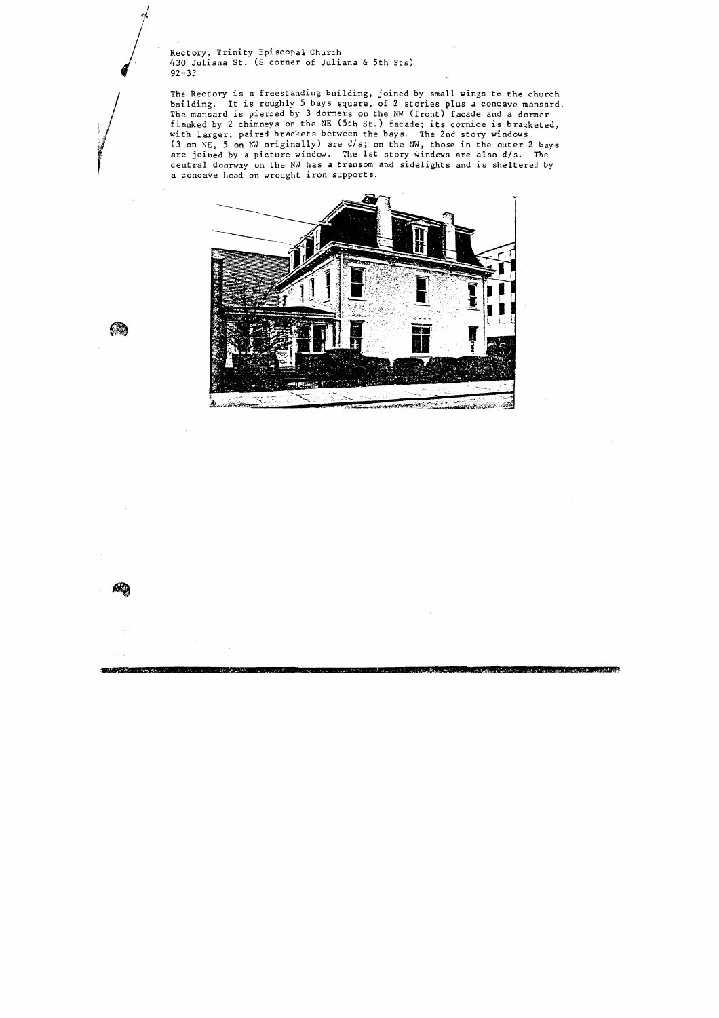Rectory, Trinity Episcopal Church *430* Juliana St. (S corner of Juliana *6* 5th Sts) **92-33** 

 $\bigcirc$ 

10. 200 10 10 10 11 12

The Rectory is a freestanding building, joined by small wings to the church building. It is roughly *5* bays square, of **2** stories plus a concave mansard. The mansard is pierced by **3** dormers on the **NW** (front) facade and a dorner flanked by 2 chimneys on the NE (5th st. ) facade; its cornice is bracketed, *I* with larger, paired brackets between the bays. The 2nd story windows **(3** on NE, 5 on NW originally) are d/s; on the MJ, those in the outer **2** bays are joined by a picture window. The 1st story windows are also d/s. The central doorway on the NW has a transom and sidelights and is sheltered by a concave hood on wrought iron supports.